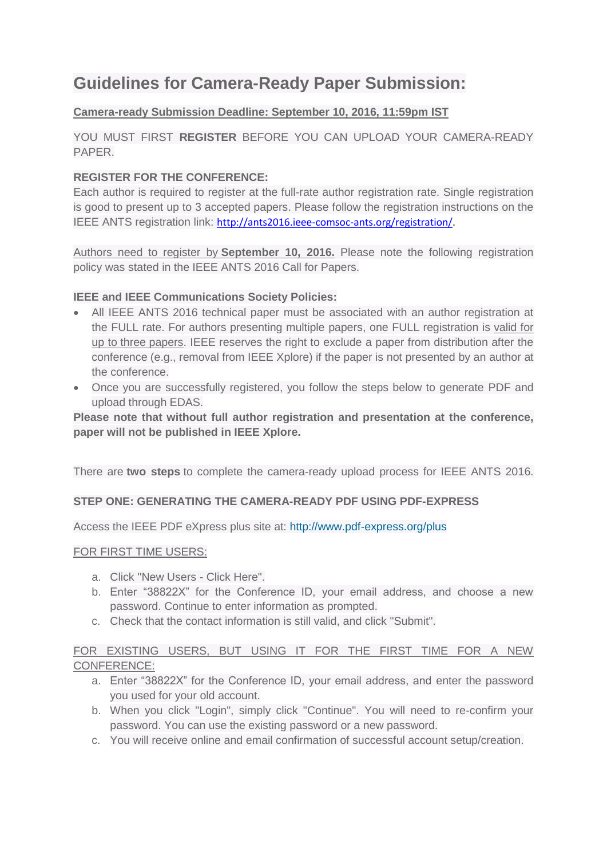# **Guidelines for Camera-Ready Paper Submission:**

# **Camera-ready Submission Deadline: September 10, 2016, 11:59pm IST**

YOU MUST FIRST **REGISTER** BEFORE YOU CAN UPLOAD YOUR CAMERA-READY PAPER.

### **REGISTER FOR THE CONFERENCE:**

Each author is required to register at the full-rate author registration rate. Single registration is good to present up to 3 accepted papers. Please follow the registration instructions on the IEEE ANTS registration link: [http://ants2016.ieee-comsoc-ants.org/registration/.](http://ants2016.ieee-comsoc-ants.org/registration/)

Authors need to register by **September 10, 2016.** Please note the following registration policy was stated in the IEEE ANTS 2016 Call for Papers.

#### **IEEE and IEEE Communications Society Policies:**

- All IEEE ANTS 2016 technical paper must be associated with an author registration at the FULL rate. For authors presenting multiple papers, one FULL registration is valid for up to three papers. IEEE reserves the right to exclude a paper from distribution after the conference (e.g., removal from IEEE Xplore) if the paper is not presented by an author at the conference.
- Once you are successfully registered, you follow the steps below to generate PDF and upload through EDAS.

**Please note that without full author registration and presentation at the conference, paper will not be published in IEEE Xplore.**

There are **two steps** to complete the camera-ready upload process for IEEE ANTS 2016.

#### **STEP ONE: GENERATING THE CAMERA-READY PDF USING PDF-EXPRESS**

Access the IEEE PDF eXpress plus site at: <http://www.pdf-express.org/plus>

#### FOR FIRST TIME USERS:

- a. Click "New Users Click Here".
- b. Enter "38822X" for the Conference ID, your email address, and choose a new password. Continue to enter information as prompted.
- c. Check that the contact information is still valid, and click "Submit".

# FOR EXISTING USERS, BUT USING IT FOR THE FIRST TIME FOR A NEW CONFERENCE:

- a. Enter "38822X" for the Conference ID, your email address, and enter the password you used for your old account.
- b. When you click "Login", simply click "Continue". You will need to re-confirm your password. You can use the existing password or a new password.
- c. You will receive online and email confirmation of successful account setup/creation.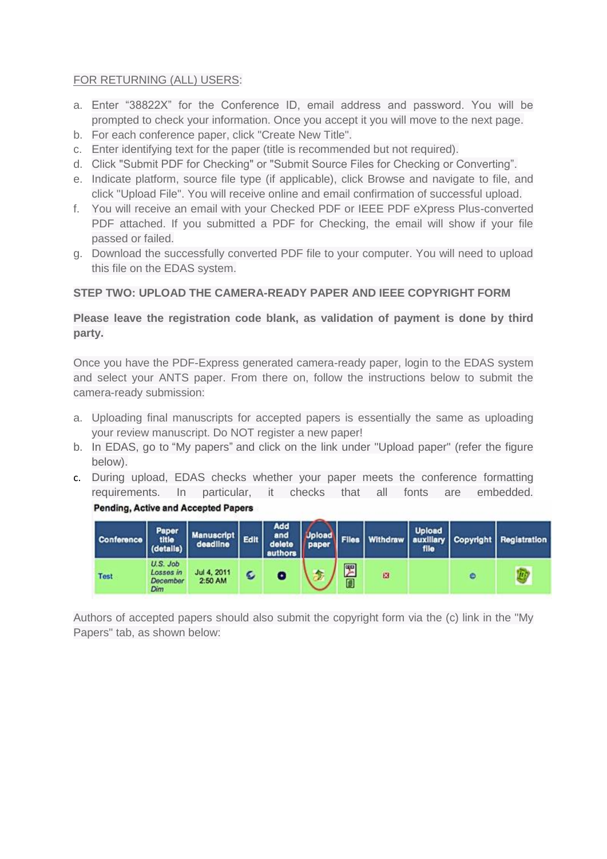#### FOR RETURNING (ALL) USERS:

- a. Enter "38822X" for the Conference ID, email address and password. You will be prompted to check your information. Once you accept it you will move to the next page.
- b. For each conference paper, click "Create New Title".
- c. Enter identifying text for the paper (title is recommended but not required).
- d. Click "Submit PDF for Checking" or "Submit Source Files for Checking or Converting".
- e. Indicate platform, source file type (if applicable), click Browse and navigate to file, and click "Upload File". You will receive online and email confirmation of successful upload.
- f. You will receive an email with your Checked PDF or IEEE PDF eXpress Plus-converted PDF attached. If you submitted a PDF for Checking, the email will show if your file passed or failed.
- g. Download the successfully converted PDF file to your computer. You will need to upload this file on the EDAS system.

#### **STEP TWO: UPLOAD THE CAMERA-READY PAPER AND IEEE COPYRIGHT FORM**

### **Please leave the registration code blank, as validation of payment is done by third party.**

Once you have the PDF-Express generated camera-ready paper, login to the EDAS system and select your ANTS paper. From there on, follow the instructions below to submit the camera-ready submission:

- a. Uploading final manuscripts for accepted papers is essentially the same as uploading your review manuscript. Do NOT register a new paper!
- b. In EDAS, go to "My papers" and click on the link under "Upload paper" (refer the figure below).
- c. During upload, EDAS checks whether your paper meets the conference formatting requirements. In particular, it checks that all fonts are embedded.





Authors of accepted papers should also submit the copyright form via the (c) link in the "My Papers" tab, as shown below: